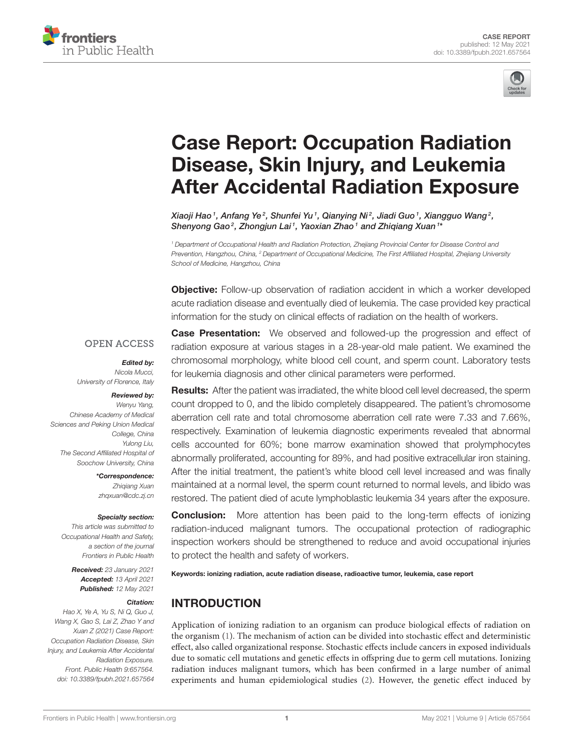



# Case Report: Occupation Radiation Disease, Skin Injury, and Leukemia [After Accidental Radiation Exposure](https://www.frontiersin.org/articles/10.3389/fpubh.2021.657564/full)

Xiaoji Hao  $^1$ , Anfang Ye $^2$ , Shunfei Yu  $^1$ , Qianying Ni $^2$ , Jiadi Guo  $^1$ , Xiangguo Wang $^2$ , Shenyong Gao<sup>2</sup>, Zhongjun Lai<sup>1</sup>, Yaoxian Zhao<sup>1</sup> and Zhiqiang Xuan<sup>1\*</sup>

*<sup>1</sup> Department of Occupational Health and Radiation Protection, Zhejiang Provincial Center for Disease Control and Prevention, Hangzhou, China, <sup>2</sup> Department of Occupational Medicine, The First Affiliated Hospital, Zhejiang University School of Medicine, Hangzhou, China*

**Objective:** Follow-up observation of radiation accident in which a worker developed acute radiation disease and eventually died of leukemia. The case provided key practical information for the study on clinical effects of radiation on the health of workers.

#### **OPEN ACCESS**

Edited by:

*Nicola Mucci, University of Florence, Italy*

#### Reviewed by:

*Wenyu Yang, Chinese Academy of Medical Sciences and Peking Union Medical College, China Yulong Liu, The Second Affiliated Hospital of Soochow University, China*

> \*Correspondence: *Zhiqiang Xuan [zhqxuan@cdc.zj.cn](mailto:zhqxuan@cdc.zj.cn)*

#### Specialty section:

*This article was submitted to Occupational Health and Safety, a section of the journal Frontiers in Public Health*

> Received: *23 January 2021* Accepted: *13 April 2021* Published: *12 May 2021*

#### Citation:

*Hao X, Ye A, Yu S, Ni Q, Guo J, Wang X, Gao S, Lai Z, Zhao Y and Xuan Z (2021) Case Report: Occupation Radiation Disease, Skin Injury, and Leukemia After Accidental Radiation Exposure. Front. Public Health 9:657564. doi: [10.3389/fpubh.2021.657564](https://doi.org/10.3389/fpubh.2021.657564)*

**Case Presentation:** We observed and followed-up the progression and effect of radiation exposure at various stages in a 28-year-old male patient. We examined the chromosomal morphology, white blood cell count, and sperm count. Laboratory tests for leukemia diagnosis and other clinical parameters were performed.

Results: After the patient was irradiated, the white blood cell level decreased, the sperm count dropped to 0, and the libido completely disappeared. The patient's chromosome aberration cell rate and total chromosome aberration cell rate were 7.33 and 7.66%, respectively. Examination of leukemia diagnostic experiments revealed that abnormal cells accounted for 60%; bone marrow examination showed that prolymphocytes abnormally proliferated, accounting for 89%, and had positive extracellular iron staining. After the initial treatment, the patient's white blood cell level increased and was finally maintained at a normal level, the sperm count returned to normal levels, and libido was restored. The patient died of acute lymphoblastic leukemia 34 years after the exposure.

**Conclusion:** More attention has been paid to the long-term effects of ionizing radiation-induced malignant tumors. The occupational protection of radiographic inspection workers should be strengthened to reduce and avoid occupational injuries to protect the health and safety of workers.

Keywords: ionizing radiation, acute radiation disease, radioactive tumor, leukemia, case report

#### INTRODUCTION

Application of ionizing radiation to an organism can produce biological effects of radiation on the organism [\(1\)](#page-3-0). The mechanism of action can be divided into stochastic effect and deterministic effect, also called organizational response. Stochastic effects include cancers in exposed individuals due to somatic cell mutations and genetic effects in offspring due to germ cell mutations. Ionizing radiation induces malignant tumors, which has been confirmed in a large number of animal experiments and human epidemiological studies [\(2\)](#page-3-1). However, the genetic effect induced by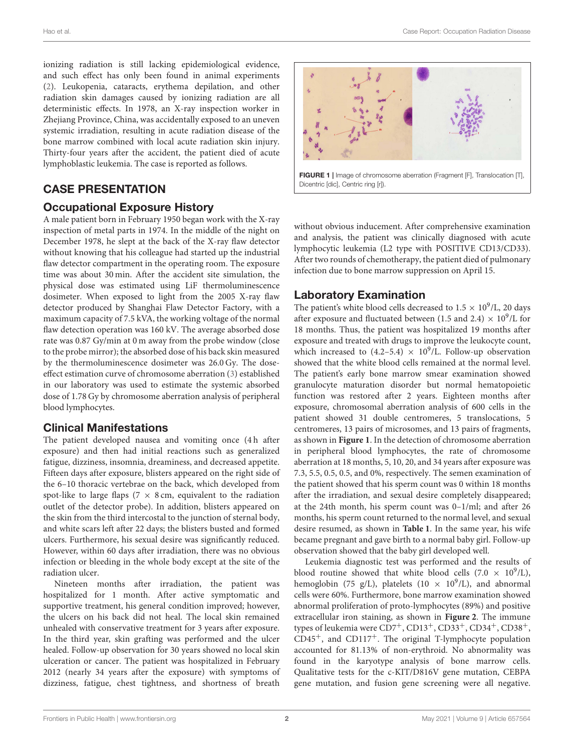ionizing radiation is still lacking epidemiological evidence, and such effect has only been found in animal experiments [\(2\)](#page-3-1). Leukopenia, cataracts, erythema depilation, and other radiation skin damages caused by ionizing radiation are all deterministic effects. In 1978, an X-ray inspection worker in Zhejiang Province, China, was accidentally exposed to an uneven systemic irradiation, resulting in acute radiation disease of the bone marrow combined with local acute radiation skin injury. Thirty-four years after the accident, the patient died of acute lymphoblastic leukemia. The case is reported as follows.

## CASE PRESENTATION

#### Occupational Exposure History

A male patient born in February 1950 began work with the X-ray inspection of metal parts in 1974. In the middle of the night on December 1978, he slept at the back of the X-ray flaw detector without knowing that his colleague had started up the industrial flaw detector compartment in the operating room. The exposure time was about 30 min. After the accident site simulation, the physical dose was estimated using LiF thermoluminescence dosimeter. When exposed to light from the 2005 X-ray flaw detector produced by Shanghai Flaw Detector Factory, with a maximum capacity of 7.5 kVA, the working voltage of the normal flaw detection operation was 160 kV. The average absorbed dose rate was 0.87 Gy/min at 0 m away from the probe window (close to the probe mirror); the absorbed dose of his back skin measured by the thermoluminescence dosimeter was 26.0 Gy. The doseeffect estimation curve of chromosome aberration [\(3\)](#page-3-2) established in our laboratory was used to estimate the systemic absorbed dose of 1.78 Gy by chromosome aberration analysis of peripheral blood lymphocytes.

#### Clinical Manifestations

The patient developed nausea and vomiting once (4h after exposure) and then had initial reactions such as generalized fatigue, dizziness, insomnia, dreaminess, and decreased appetite. Fifteen days after exposure, blisters appeared on the right side of the 6–10 thoracic vertebrae on the back, which developed from spot-like to large flaps (7  $\times$  8 cm, equivalent to the radiation outlet of the detector probe). In addition, blisters appeared on the skin from the third intercostal to the junction of sternal body, and white scars left after 22 days; the blisters busted and formed ulcers. Furthermore, his sexual desire was significantly reduced. However, within 60 days after irradiation, there was no obvious infection or bleeding in the whole body except at the site of the radiation ulcer.

Nineteen months after irradiation, the patient was hospitalized for 1 month. After active symptomatic and supportive treatment, his general condition improved; however, the ulcers on his back did not heal. The local skin remained unhealed with conservative treatment for 3 years after exposure. In the third year, skin grafting was performed and the ulcer healed. Follow-up observation for 30 years showed no local skin ulceration or cancer. The patient was hospitalized in February 2012 (nearly 34 years after the exposure) with symptoms of dizziness, fatigue, chest tightness, and shortness of breath



<span id="page-1-0"></span>without obvious inducement. After comprehensive examination and analysis, the patient was clinically diagnosed with acute lymphocytic leukemia (L2 type with POSITIVE CD13/CD33). After two rounds of chemotherapy, the patient died of pulmonary infection due to bone marrow suppression on April 15.

#### Laboratory Examination

The patient's white blood cells decreased to  $1.5 \times 10^9$ /L, 20 days after exposure and fluctuated between (1.5 and 2.4)  $\times$  10<sup>9</sup>/L for 18 months. Thus, the patient was hospitalized 19 months after exposure and treated with drugs to improve the leukocyte count, which increased to  $(4.2-5.4) \times 10^9$ /L. Follow-up observation showed that the white blood cells remained at the normal level. The patient's early bone marrow smear examination showed granulocyte maturation disorder but normal hematopoietic function was restored after 2 years. Eighteen months after exposure, chromosomal aberration analysis of 600 cells in the patient showed 31 double centromeres, 5 translocations, 5 centromeres, 13 pairs of microsomes, and 13 pairs of fragments, as shown in **[Figure 1](#page-1-0)**. In the detection of chromosome aberration in peripheral blood lymphocytes, the rate of chromosome aberration at 18 months, 5, 10, 20, and 34 years after exposure was 7.3, 5.5, 0.5, 0.5, and 0%, respectively. The semen examination of the patient showed that his sperm count was 0 within 18 months after the irradiation, and sexual desire completely disappeared; at the 24th month, his sperm count was 0–1/ml; and after 26 months, his sperm count returned to the normal level, and sexual desire resumed, as shown in **[Table 1](#page-2-0)**. In the same year, his wife became pregnant and gave birth to a normal baby girl. Follow-up observation showed that the baby girl developed well.

Leukemia diagnostic test was performed and the results of blood routine showed that white blood cells  $(7.0 \times 10^9$ /L), hemoglobin (75 g/L), platelets (10  $\times$  10<sup>9</sup>/L), and abnormal cells were 60%. Furthermore, bone marrow examination showed abnormal proliferation of proto-lymphocytes (89%) and positive extracellular iron staining, as shown in **[Figure 2](#page-2-1)**. The immune types of leukemia were CD7+, CD13+, CD33+, CD34+, CD38+,  $CD45<sup>+</sup>$ , and  $CD117<sup>+</sup>$ . The original T-lymphocyte population accounted for 81.13% of non-erythroid. No abnormality was found in the karyotype analysis of bone marrow cells. Qualitative tests for the c-KIT/D816V gene mutation, CEBPA gene mutation, and fusion gene screening were all negative.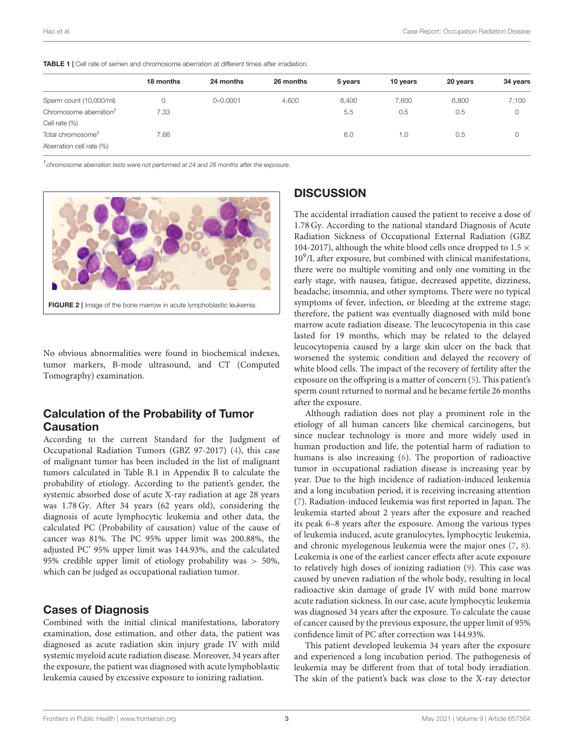<span id="page-2-0"></span>

|                                    | 18 months | 24 months    | 26 months | 5 years | 10 years | 20 years | 34 years |
|------------------------------------|-----------|--------------|-----------|---------|----------|----------|----------|
| Sperm count (10,000/ml)            |           | $0 - 0.0001$ | 4.600     | 8,400   | 7,600    | 6.800    | 7,100    |
| Chromosome aberration <sup>†</sup> | 7.33      |              |           | 5.5     | 0.5      | 0.5      | 0        |
| Cell rate (%)                      |           |              |           |         |          |          |          |
| Total chromosome <sup>†</sup>      | 7.66      |              |           | 6.0     | 1.0      | 0.5      | U        |
| Aberration cell rate (%)           |           |              |           |         |          |          |          |

*† chromosome aberration tests were not performed at 24 and 26 months after the exposure.*



<span id="page-2-1"></span>No obvious abnormalities were found in biochemical indexes, tumor markers, B-mode ultrasound, and CT (Computed Tomography) examination.

#### Calculation of the Probability of Tumor Causation

According to the current Standard for the Judgment of Occupational Radiation Tumors (GBZ 97-2017) [\(4\)](#page-3-3), this case of malignant tumor has been included in the list of malignant tumors calculated in Table B.1 in Appendix B to calculate the probability of etiology. According to the patient's gender, the systemic absorbed dose of acute X-ray radiation at age 28 years was 1.78 Gy. After 34 years (62 years old), considering the diagnosis of acute lymphocytic leukemia and other data, the calculated PC (Probability of causation) value of the cause of cancer was 81%. The PC 95% upper limit was 200.88%, the adjusted PC' 95% upper limit was 144.93%, and the calculated 95% credible upper limit of etiology probability was > 50%, which can be judged as occupational radiation tumor.

#### Cases of Diagnosis

Combined with the initial clinical manifestations, laboratory examination, dose estimation, and other data, the patient was diagnosed as acute radiation skin injury grade IV with mild systemic myeloid acute radiation disease. Moreover, 34 years after the exposure, the patient was diagnosed with acute lymphoblastic leukemia caused by excessive exposure to ionizing radiation.

## **DISCUSSION**

The accidental irradiation caused the patient to receive a dose of 1.78 Gy. According to the national standard Diagnosis of Acute Radiation Sickness of Occupational External Radiation (GBZ 104-2017), although the white blood cells once dropped to 1.5  $\times$ 10<sup>9</sup> /L after exposure, but combined with clinical manifestations, there were no multiple vomiting and only one vomiting in the early stage, with nausea, fatigue, decreased appetite, dizziness, headache, insomnia, and other symptoms. There were no typical symptoms of fever, infection, or bleeding at the extreme stage; therefore, the patient was eventually diagnosed with mild bone marrow acute radiation disease. The leucocytopenia in this case lasted for 19 months, which may be related to the delayed leucocytopenia caused by a large skin ulcer on the back that worsened the systemic condition and delayed the recovery of white blood cells. The impact of the recovery of fertility after the exposure on the offspring is a matter of concern [\(5\)](#page-3-4). This patient's sperm count returned to normal and he became fertile 26 months after the exposure.

Although radiation does not play a prominent role in the etiology of all human cancers like chemical carcinogens, but since nuclear technology is more and more widely used in human production and life, the potential harm of radiation to humans is also increasing [\(6\)](#page-3-5). The proportion of radioactive tumor in occupational radiation disease is increasing year by year. Due to the high incidence of radiation-induced leukemia and a long incubation period, it is receiving increasing attention [\(7\)](#page-3-6). Radiation-induced leukemia was first reported in Japan. The leukemia started about 2 years after the exposure and reached its peak 6–8 years after the exposure. Among the various types of leukemia induced, acute granulocytes, lymphocytic leukemia, and chronic myelogenous leukemia were the major ones [\(7,](#page-3-6) [8\)](#page-3-7). Leukemia is one of the earliest cancer effects after acute exposure to relatively high doses of ionizing radiation [\(9\)](#page-3-8). This case was caused by uneven radiation of the whole body, resulting in local radioactive skin damage of grade IV with mild bone marrow acute radiation sickness. In our case, acute lymphocytic leukemia was diagnosed 34 years after the exposure. To calculate the cause of cancer caused by the previous exposure, the upper limit of 95% confidence limit of PC after correction was 144.93%.

This patient developed leukemia 34 years after the exposure and experienced a long incubation period. The pathogenesis of leukemia may be different from that of total body irradiation. The skin of the patient's back was close to the X-ray detector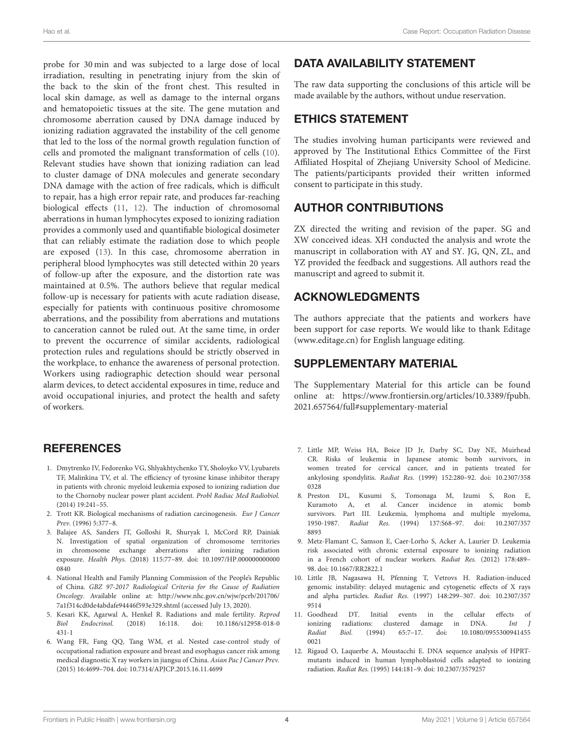probe for 30 min and was subjected to a large dose of local irradiation, resulting in penetrating injury from the skin of the back to the skin of the front chest. This resulted in local skin damage, as well as damage to the internal organs and hematopoietic tissues at the site. The gene mutation and chromosome aberration caused by DNA damage induced by ionizing radiation aggravated the instability of the cell genome that led to the loss of the normal growth regulation function of cells and promoted the malignant transformation of cells [\(10\)](#page-3-9). Relevant studies have shown that ionizing radiation can lead to cluster damage of DNA molecules and generate secondary DNA damage with the action of free radicals, which is difficult to repair, has a high error repair rate, and produces far-reaching biological effects [\(11,](#page-3-10) [12\)](#page-3-11). The induction of chromosomal aberrations in human lymphocytes exposed to ionizing radiation provides a commonly used and quantifiable biological dosimeter that can reliably estimate the radiation dose to which people are exposed [\(13\)](#page-4-0). In this case, chromosome aberration in peripheral blood lymphocytes was still detected within 20 years of follow-up after the exposure, and the distortion rate was maintained at 0.5%. The authors believe that regular medical follow-up is necessary for patients with acute radiation disease, especially for patients with continuous positive chromosome aberrations, and the possibility from aberrations and mutations to canceration cannot be ruled out. At the same time, in order to prevent the occurrence of similar accidents, radiological protection rules and regulations should be strictly observed in the workplace, to enhance the awareness of personal protection. Workers using radiographic detection should wear personal alarm devices, to detect accidental exposures in time, reduce and avoid occupational injuries, and protect the health and safety of workers.

#### **REFERENCES**

- <span id="page-3-0"></span>1. Dmytrenko IV, Fedorenko VG, Shlyakhtychenko TY, Sholoyko VV, Lyubarets TF, Malinkina TV, et al. The efficiency of tyrosine kinase inhibitor therapy in patients with chronic myeloid leukemia exposed to ionizing radiation due to the Chornoby nuclear power plant accident. Probl Radiac Med Radiobiol. (2014) 19:241–55.
- <span id="page-3-1"></span>2. Trott KR. Biological mechanisms of radiation carcinogenesis. Eur J Cancer Prev. (1996) 5:377–8.
- <span id="page-3-2"></span>3. Balajee AS, Sanders JT, Golloshi R, Shuryak I, McCord RP, Dainiak N. Investigation of spatial organization of chromosome territories in chromosome exchange aberrations after ionizing radiation exposure. Health Phys. [\(2018\) 115:77–89. doi: 10.1097/HP.000000000000](https://doi.org/10.1097/HP.0000000000000840) 0840
- <span id="page-3-3"></span>4. National Health and Family Planning Commission of the People's Republic of China. GBZ 97-2017 Radiological Criteria for the Cause of Radiation Oncology. Available online at: [http://www.nhc.gov.cn/wjw/pcrb/201706/](http://www.nhc.gov.cn/wjw/pcrb/201706/7a1f314cd0de4abdafe94446f593e329.shtml) [7a1f314cd0de4abdafe94446f593e329.shtml](http://www.nhc.gov.cn/wjw/pcrb/201706/7a1f314cd0de4abdafe94446f593e329.shtml) (accessed July 13, 2020).
- <span id="page-3-4"></span>5. Kesari KK, Agarwal A, Henkel R. Radiations and male fertility. Reprod Biol Endocrinol. [\(2018\) 16:118. doi: 10.1186/s12958-018-0](https://doi.org/10.1186/s12958-018-0431-1) 431-1
- <span id="page-3-5"></span>6. Wang FR, Fang QQ, Tang WM, et al. Nested case-control study of occupational radiation exposure and breast and esophagus cancer risk among medical diagnostic X ray workers in jiangsu of China. Asian Pac J Cancer Prev. (2015) 16:4699–704. doi: [10.7314/APJCP.2015.16.11.4699](https://doi.org/10.7314/APJCP.2015.16.11.4699)

# DATA AVAILABILITY STATEMENT

The raw data supporting the conclusions of this article will be made available by the authors, without undue reservation.

## ETHICS STATEMENT

The studies involving human participants were reviewed and approved by The Institutional Ethics Committee of the First Affiliated Hospital of Zhejiang University School of Medicine. The patients/participants provided their written informed consent to participate in this study.

#### AUTHOR CONTRIBUTIONS

ZX directed the writing and revision of the paper. SG and XW conceived ideas. XH conducted the analysis and wrote the manuscript in collaboration with AY and SY. JG, QN, ZL, and YZ provided the feedback and suggestions. All authors read the manuscript and agreed to submit it.

#### ACKNOWLEDGMENTS

The authors appreciate that the patients and workers have been support for case reports. We would like to thank Editage [\(www.editage.cn\)](http://www.editage.cn) for English language editing.

#### SUPPLEMENTARY MATERIAL

The Supplementary Material for this article can be found [online at: https://www.frontiersin.org/articles/10.3389/fpubh.](https://www.frontiersin.org/articles/10.3389/fpubh.2021.657564/full#supplementary-material) 2021.657564/full#supplementary-material

- <span id="page-3-6"></span>7. Little MP, Weiss HA, Boice JD Jr, Darby SC, Day NE, Muirhead CR. Risks of leukemia in Japanese atomic bomb survivors, in women treated for cervical cancer, and in patients treated for ankylosing spondylitis. Radiat Res. [\(1999\) 152:280–92. doi: 10.2307/358](https://doi.org/10.2307/3580328) 0328
- <span id="page-3-7"></span>8. Preston DL, Kusumi S, Tomonaga M, Izumi S, Ron E, Kuramoto A, et al. Cancer incidence in atomic bomb survivors. Part III. Leukemia, lymphoma and multiple myeloma, 1950-1987. Radiat Res. [\(1994\) 137:S68–97. doi: 10.2307/357](https://doi.org/10.2307/3578893) 8893
- <span id="page-3-8"></span>9. Metz-Flamant C, Samson E, Caer-Lorho S, Acker A, Laurier D. Leukemia risk associated with chronic external exposure to ionizing radiation in a French cohort of nuclear workers. Radiat Res. (2012) 178:489– 98. doi: [10.1667/RR2822.1](https://doi.org/10.1667/RR2822.1)
- <span id="page-3-9"></span>10. Little JB, Nagasawa H, Pfenning T, Vetrovs H. Radiation-induced genomic instability: delayed mutagenic and cytogenetic effects of X rays and alpha particles. Radiat Res. [\(1997\) 148:299–307. doi: 10.2307/357](https://doi.org/10.2307/3579514) 9514
- <span id="page-3-10"></span>11. Goodhead DT. Initial events in the cellular effects of ionizing radiations: clustered damage in DNA. Int J Radiat Biol. [\(1994\) 65:7–17. doi: 10.1080/0955300941455](https://doi.org/10.1080/09553009414550021) 0021
- <span id="page-3-11"></span>12. Rigaud O, Laquerbe A, Moustacchi E. DNA sequence analysis of HPRTmutants induced in human lymphoblastoid cells adapted to ionizing radiation. Radiat Res. (1995) 144:181–9. doi: [10.2307/3579257](https://doi.org/10.2307/3579257)